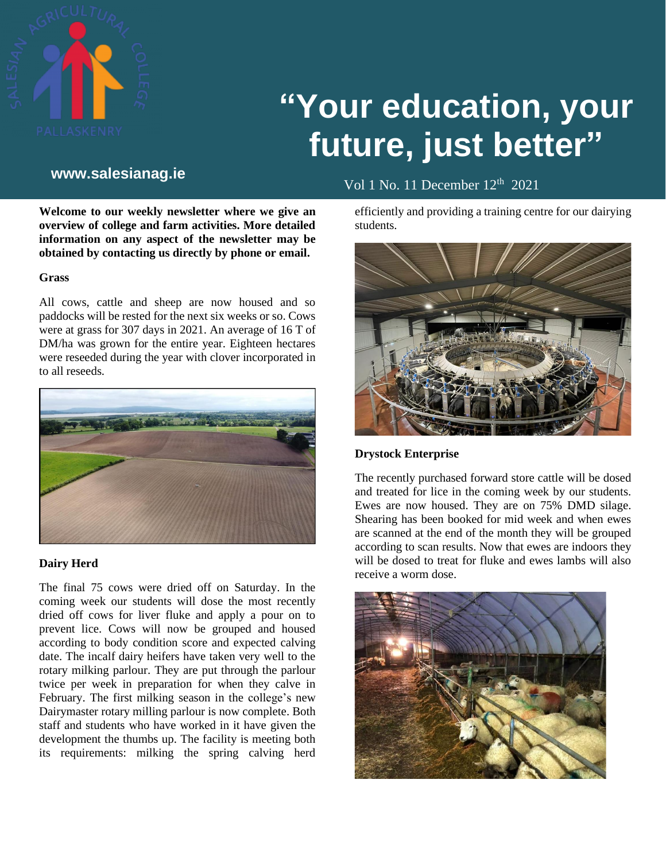

# **"Your education, your future, just better"**

# **www.salesianag.ie**

Vol 1 No. 11 December 12<sup>th</sup> 2021

efficiently and providing a training centre for our dairying students.



**Drystock Enterprise**

The recently purchased forward store cattle will be dosed and treated for lice in the coming week by our students. Ewes are now housed. They are on 75% DMD silage. Shearing has been booked for mid week and when ewes are scanned at the end of the month they will be grouped according to scan results. Now that ewes are indoors they will be dosed to treat for fluke and ewes lambs will also receive a worm dose.



**Welcome to our weekly newsletter where we give an overview of college and farm activities. More detailed information on any aspect of the newsletter may be obtained by contacting us directly by phone or email.**

# **Grass**

All cows, cattle and sheep are now housed and so paddocks will be rested for the next six weeks or so. Cows were at grass for 307 days in 2021. An average of 16 T of DM/ha was grown for the entire year. Eighteen hectares were reseeded during the year with clover incorporated in to all reseeds.



# **Dairy Herd**

The final 75 cows were dried off on Saturday. In the coming week our students will dose the most recently dried off cows for liver fluke and apply a pour on to prevent lice. Cows will now be grouped and housed according to body condition score and expected calving date. The incalf dairy heifers have taken very well to the rotary milking parlour. They are put through the parlour twice per week in preparation for when they calve in February. The first milking season in the college's new Dairymaster rotary milling parlour is now complete. Both staff and students who have worked in it have given the development the thumbs up. The facility is meeting both its requirements: milking the spring calving herd